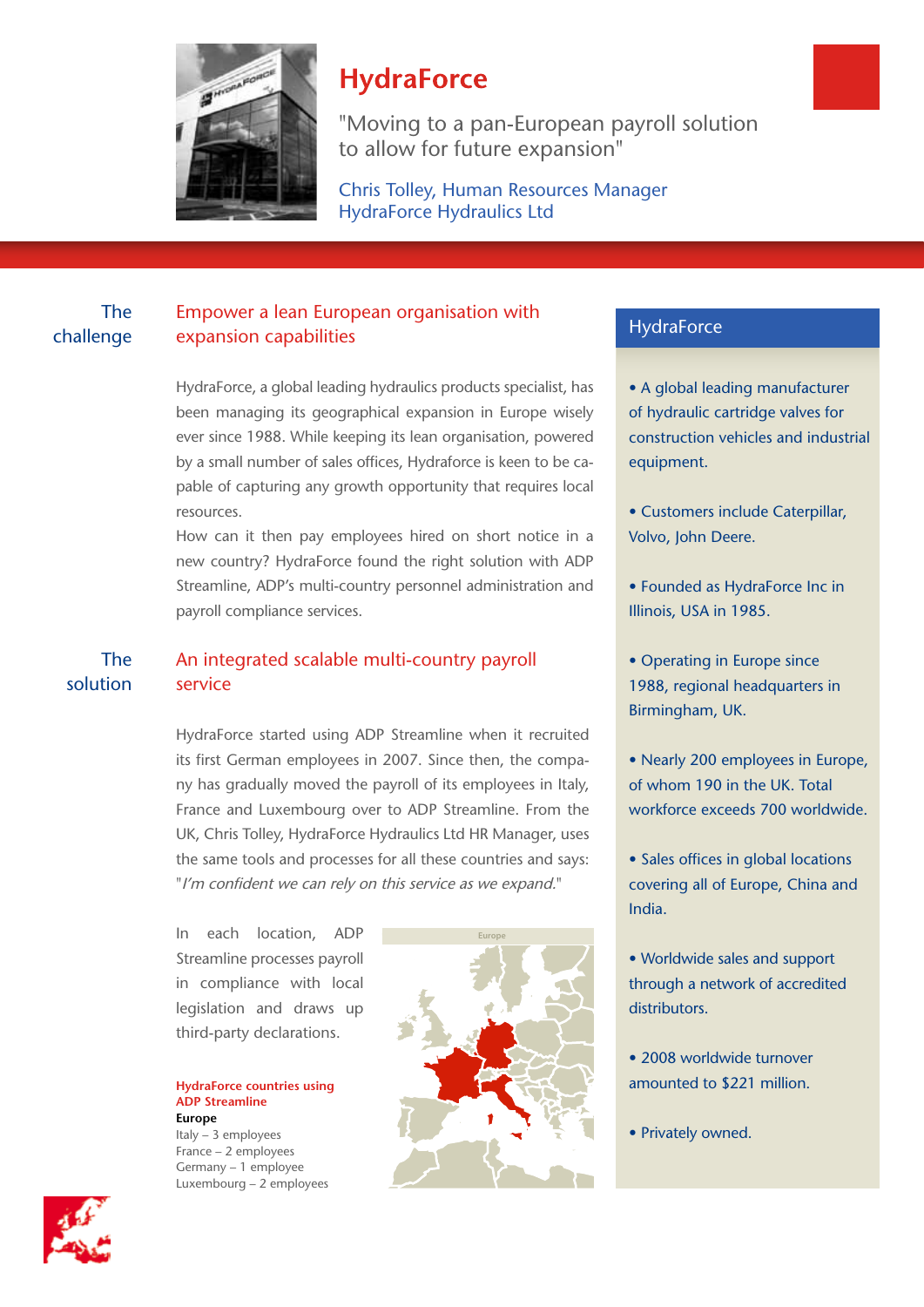

# **HydraForce**

"Moving to a pan-European payroll solution to allow for future expansion"

Chris Tolley, Human Resources Manager HydraForce Hydraulics Ltd

### The challenge

### Empower a lean European organisation with expansion capabilities

HydraForce, a global leading hydraulics products specialist, has been managing its geographical expansion in Europe wisely ever since 1988. While keeping its lean organisation, powered by a small number of sales offices, Hydraforce is keen to be capable of capturing any growth opportunity that requires local resources.

How can it then pay employees hired on short notice in a new country? HydraForce found the right solution with ADP Streamline, ADP's multi-country personnel administration and payroll compliance services.

#### An integrated scalable multi-country payroll service The solution

HydraForce started using ADP Streamline when it recruited if is first German employees in 2007. Since then, the compa-<br>its first German employees in 2007. Since then, the compa-<br>**•** Nearly 200 employees in Europe, ny has gradually moved the payroll of its employees in Italy, France and Luxembourg over to ADP Streamline. From the UK, Chris Tolley, HydraForce Hydraulics Ltd HR Manager, uses the same tools and processes for all these countries and says: "I'm confident we can rely on this service as we expand."

> In each location, ADP Streamline processes payroll in compliance with local legislation and draws up third-party declarations.

**HydraForce countries using ADP Streamline Europe**

Italy – 3 employees France – 2 employees Germany – 1 employee Luxembourg – 2 employees



### **HydraForce**

• A global leading manufacturer of hydraulic cartridge valves for construction vehicles and industrial equipment.

- Customers include Caterpillar, Volvo, John Deere.
- Founded as HydraForce Inc in Illinois, USA in 1985.
- Operating in Europe since 1988, regional headquarters in Birmingham, UK.
- Nearly 200 employees in Europe, of whom 190 in the UK. Total workforce exceeds 700 worldwide.
- Sales offices in global locations covering all of Europe, China and India.
- Worldwide sales and support through a network of accredited distributors.
- 2008 worldwide turnover amounted to \$221 million.
- Privately owned.